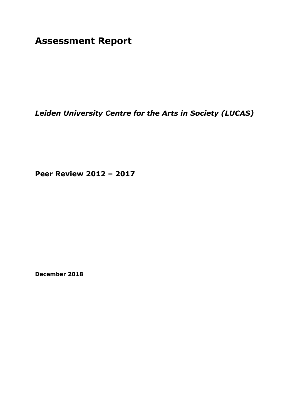**Assessment Report**

*Leiden University Centre for the Arts in Society (LUCAS)*

**Peer Review 2012 – 2017**

**December 2018**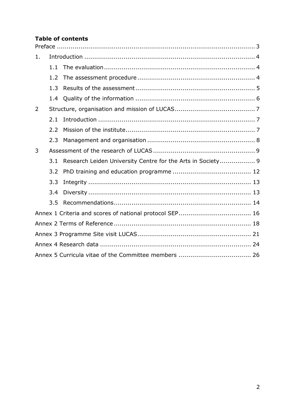### **Table of contents**

| 1. |     |                                                             |  |
|----|-----|-------------------------------------------------------------|--|
|    | 1.1 |                                                             |  |
|    | 1.2 |                                                             |  |
|    | 1.3 |                                                             |  |
|    | 1.4 |                                                             |  |
| 2  |     |                                                             |  |
|    | 2.1 |                                                             |  |
|    | 2.2 |                                                             |  |
|    | 2.3 |                                                             |  |
| 3  |     |                                                             |  |
|    | 3.1 | Research Leiden University Centre for the Arts in Society 9 |  |
|    | 3.2 |                                                             |  |
|    | 3.3 |                                                             |  |
|    | 3.4 |                                                             |  |
|    | 3.5 |                                                             |  |
|    |     |                                                             |  |
|    |     |                                                             |  |
|    |     |                                                             |  |
|    |     |                                                             |  |
|    |     |                                                             |  |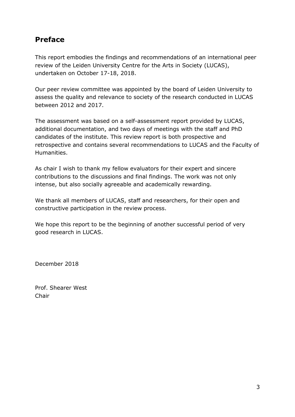# <span id="page-2-0"></span>**Preface**

This report embodies the findings and recommendations of an international peer review of the Leiden University Centre for the Arts in Society (LUCAS), undertaken on October 17-18, 2018.

Our peer review committee was appointed by the board of Leiden University to assess the quality and relevance to society of the research conducted in LUCAS between 2012 and 2017.

The assessment was based on a self-assessment report provided by LUCAS, additional documentation, and two days of meetings with the staff and PhD candidates of the institute. This review report is both prospective and retrospective and contains several recommendations to LUCAS and the Faculty of Humanities.

As chair I wish to thank my fellow evaluators for their expert and sincere contributions to the discussions and final findings. The work was not only intense, but also socially agreeable and academically rewarding.

We thank all members of LUCAS, staff and researchers, for their open and constructive participation in the review process.

We hope this report to be the beginning of another successful period of very good research in LUCAS.

December 2018

Prof. Shearer West Chair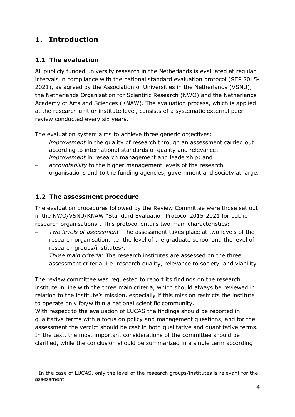# <span id="page-3-0"></span>**1. Introduction**

## <span id="page-3-1"></span>**1.1 The evaluation**

All publicly funded university research in the Netherlands is evaluated at regular intervals in compliance with the national standard evaluation protocol (SEP 2015- 2021), as agreed by the Association of Universities in the Netherlands (VSNU), the Netherlands Organisation for Scientific Research (NWO) and the Netherlands Academy of Arts and Sciences (KNAW). The evaluation process, which is applied at the research unit or institute level, consists of a systematic external peer review conducted every six years.

The evaluation system aims to achieve three generic objectives:

- − *improvement* in the quality of research through an assessment carried out according to international standards of quality and relevance;
- *improvement* in research management and leadership; and
- accountability to the higher management levels of the research organisations and to the funding agencies, government and society at large.

## <span id="page-3-2"></span>**1.2 The assessment procedure**

-

The evaluation procedures followed by the Review Committee were those set out in the NWO/VSNU/KNAW "Standard Evaluation Protocol 2015-2021 for public research organisations". This protocol entails two main characteristics:

- − *Two levels of assessment*: The assessment takes place at two levels of the research organisation, i.e. the level of the graduate school and the level of research groups/institutes $^{1}$ ;
- − *Three main criteria*: The research institutes are assessed on the three assessment criteria, i.e. research quality, relevance to society, and viability.

The review committee was requested to report its findings on the research institute in line with the three main criteria, which should always be reviewed in relation to the institute's mission, especially if this mission restricts the institute to operate only for/within a national scientific community.

With respect to the evaluation of LUCAS the findings should be reported in qualitative terms with a focus on policy and management questions, and for the assessment the verdict should be cast in both qualitative and quantitative terms. In the text, the most important considerations of the committee should be clarified, while the conclusion should be summarized in a single term according

<sup>&</sup>lt;sup>1</sup> In the case of LUCAS, only the level of the research groups/institutes is relevant for the assessment.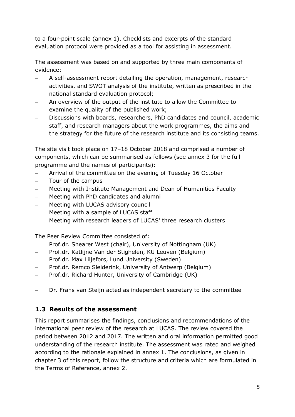to a four-point scale (annex 1). Checklists and excerpts of the standard evaluation protocol were provided as a tool for assisting in assessment.

The assessment was based on and supported by three main components of evidence:

- − A self-assessment report detailing the operation, management, research activities, and SWOT analysis of the institute, written as prescribed in the national standard evaluation protocol;
- − An overview of the output of the institute to allow the Committee to examine the quality of the published work;
- − Discussions with boards, researchers, PhD candidates and council, academic staff, and research managers about the work programmes, the aims and the strategy for the future of the research institute and its consisting teams.

The site visit took place on 17–18 October 2018 and comprised a number of components, which can be summarised as follows (see annex 3 for the full programme and the names of participants):

- Arrival of the committee on the evening of Tuesday 16 October
- − Tour of the campus
- − Meeting with Institute Management and Dean of Humanities Faculty
- − Meeting with PhD candidates and alumni
- Meeting with LUCAS advisory council
- − Meeting with a sample of LUCAS staff
- − Meeting with research leaders of LUCAS' three research clusters

The Peer Review Committee consisted of:

- − Prof.dr. Shearer West (chair), University of Nottingham (UK)
- − Prof.dr. Katlijne Van der Stighelen, KU Leuven (Belgium)
- − Prof.dr. Max Liljefors, Lund University (Sweden)
- Prof.dr. Remco Sleiderink, University of Antwerp (Belgium)
- − Prof.dr. Richard Hunter, University of Cambridge (UK)
- − Dr. Frans van Steijn acted as independent secretary to the committee

## <span id="page-4-0"></span>**1.3 Results of the assessment**

This report summarises the findings, conclusions and recommendations of the international peer review of the research at LUCAS. The review covered the period between 2012 and 2017. The written and oral information permitted good understanding of the research institute. The assessment was rated and weighed according to the rationale explained in annex 1. The conclusions, as given in chapter 3 of this report, follow the structure and criteria which are formulated in the Terms of Reference, annex 2.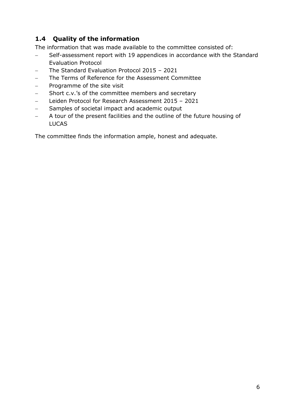## <span id="page-5-0"></span>**1.4 Quality of the information**

The information that was made available to the committee consisted of:

- − Self-assessment report with 19 appendices in accordance with the Standard Evaluation Protocol
- − The Standard Evaluation Protocol 2015 2021
- The Terms of Reference for the Assessment Committee
- − Programme of the site visit
- − Short c.v.'s of the committee members and secretary
- − Leiden Protocol for Research Assessment 2015 2021
- − Samples of societal impact and academic output
- A tour of the present facilities and the outline of the future housing of LUCAS

The committee finds the information ample, honest and adequate.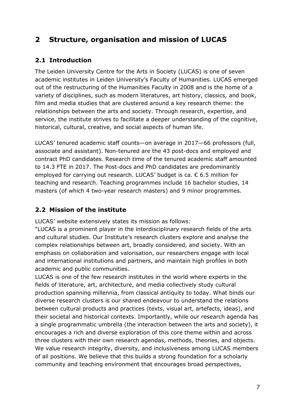# <span id="page-6-0"></span>**2 Structure, organisation and mission of LUCAS**

## <span id="page-6-1"></span>**2.1 Introduction**

The Leiden University Centre for the Arts in Society (LUCAS) is one of seven academic institutes in Leiden University's Faculty of Humanities. LUCAS emerged out of the restructuring of the Humanities Faculty in 2008 and is the home of a variety of disciplines, such as modern literatures, art history, classics, and book, film and media studies that are clustered around a key research theme: the relationships between the arts and society. Through research, expertise, and service, the institute strives to facilitate a deeper understanding of the cognitive, historical, cultural, creative, and social aspects of human life.

LUCAS' tenured academic staff counts—on average in 2017—66 professors (full, associate and assistant). Non-tenured are the 43 post-docs and employed and contract PhD candidates. Research time of the tenured academic staff amounted to 14.3 FTE in 2017. The Post-docs and PhD candidates are predominantly employed for carrying out research. LUCAS' budget is ca. € 6.5 million for teaching and research. Teaching programmes include 16 bachelor studies, 14 masters (of which 4 two-year research masters) and 9 minor programmes.

## <span id="page-6-2"></span>**2.2 Mission of the institute**

LUCAS' website extensively states its mission as follows:

"LUCAS is a prominent player in the interdisciplinary research fields of the arts and cultural studies. Our Institute's research clusters explore and analyse the complex relationships between art, broadly considered, and society. With an emphasis on collaboration and valorisation, our researchers engage with local and international institutions and partners, and maintain high profiles in both academic and public communities.

LUCAS is one of the few research institutes in the world where experts in the fields of literature, art, architecture, and media collectively study cultural production spanning millennia, from classical antiquity to today. What binds our diverse research clusters is our shared endeavour to understand the relations between cultural products and practices (texts, visual art, artefacts, ideas), and their societal and historical contexts. Importantly, while our research agenda has a single programmatic umbrella (the interaction between the arts and society), it encourages a rich and diverse exploration of this core theme within and across three clusters with their own research agendas, methods, theories, and objects. We value research integrity, diversity, and inclusiveness among LUCAS members of all positions. We believe that this builds a strong foundation for a scholarly community and teaching environment that encourages broad perspectives,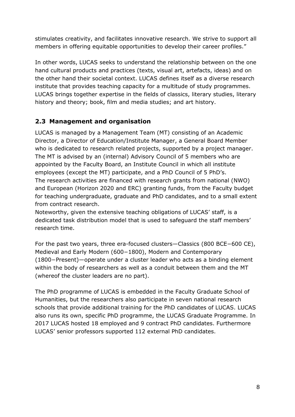stimulates creativity, and facilitates innovative research. We strive to support all members in offering equitable opportunities to develop their career profiles."

In other words, LUCAS seeks to understand the relationship between on the one hand cultural products and practices (texts, visual art, artefacts, ideas) and on the other hand their societal context. LUCAS defines itself as a diverse research institute that provides teaching capacity for a multitude of study programmes. LUCAS brings together expertise in the fields of classics, literary studies, literary history and theory; book, film and media studies; and art history.

## <span id="page-7-0"></span>**2.3 Management and organisation**

LUCAS is managed by a Management Team (MT) consisting of an Academic Director, a Director of Education/Institute Manager, a General Board Member who is dedicated to research related projects, supported by a project manager. The MT is advised by an (internal) Advisory Council of 5 members who are appointed by the Faculty Board, an Institute Council in which all institute employees (except the MT) participate, and a PhD Council of 5 PhD's. The research activities are financed with research grants from national (NWO) and European (Horizon 2020 and ERC) granting funds, from the Faculty budget for teaching undergraduate, graduate and PhD candidates, and to a small extent from contract research.

Noteworthy, given the extensive teaching obligations of LUCAS' staff, is a dedicated task distribution model that is used to safeguard the staff members' research time.

For the past two years, three era-focused clusters—Classics (800 BCE−600 CE), Medieval and Early Modern (600−1800), Modern and Contemporary (1800−Present)—operate under a cluster leader who acts as a binding element within the body of researchers as well as a conduit between them and the MT (whereof the cluster leaders are no part).

The PhD programme of LUCAS is embedded in the Faculty Graduate School of Humanities, but the researchers also participate in seven national research schools that provide additional training for the PhD candidates of LUCAS. LUCAS also runs its own, specific PhD programme, the LUCAS Graduate Programme. In 2017 LUCAS hosted 18 employed and 9 contract PhD candidates. Furthermore LUCAS' senior professors supported 112 external PhD candidates.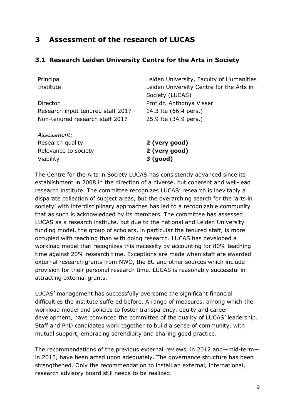# <span id="page-8-0"></span>**3 Assessment of the research of LUCAS**

### <span id="page-8-1"></span>**3.1 Research Leiden University Centre for the Arts in Society**

| Principal                         | Leiden University, Faculty of Humanities |
|-----------------------------------|------------------------------------------|
| Institute                         | Leiden University Centre for the Arts in |
|                                   | Society (LUCAS)                          |
| Director                          | Prof.dr. Anthonya Visser                 |
| Research input tenured staff 2017 | 14.3 fte (66.4 pers.)                    |
| Non-tenured research staff 2017   | 25.9 fte (34.9 pers.)                    |
| Assessment:                       |                                          |
| Research quality                  | 2 (very good)                            |
| Relevance to society              | 2 (very good)                            |
| Viability                         | 3 (good)                                 |

The Centre for the Arts in Society LUCAS has consistently advanced since its establishment in 2008 in the direction of a diverse, but coherent and well-lead research institute. The committee recognizes LUCAS' research is inevitably a disparate collection of subject areas, but the overarching search for the 'arts in society' with interdisciplinary approaches has led to a recognizable community that as such is acknowledged by its members. The committee has assessed LUCAS as a research institute, but due to the national and Leiden University funding model, the group of scholars, in particular the tenured staff, is more occupied with teaching than with doing research. LUCAS has developed a workload model that recognizes this necessity by accounting for 80% teaching time against 20% research time. Exceptions are made when staff are awarded external research grants from NWO, the EU and other sources which include provision for their personal research time. LUCAS is reasonably successful in attracting external grants.

LUCAS' management has successfully overcome the significant financial difficulties the institute suffered before. A range of measures, among which the workload model and policies to foster transparency, equity and career development, have convinced the committee of the quality of LUCAS' leadership. Staff and PhD candidates work together to build a sense of community, with mutual support, embracing serendipity and sharing good practice.

The recommendations of the previous external reviews, in 2012 and—mid-term in 2015, have been acted upon adequately. The governance structure has been strengthened. Only the recommendation to install an external, international, research advisory board still needs to be realized.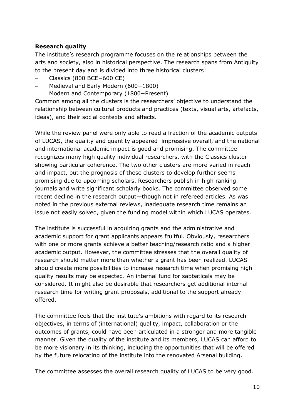### **Research quality**

The institute's research programme focuses on the relationships between the arts and society, also in historical perspective. The research spans from Antiquity to the present day and is divided into three historical clusters:

- − Classics (800 BCE−600 CE)
- − Medieval and Early Modern (600−1800)
- − Modern and Contemporary (1800−Present)

Common among all the clusters is the researchers' objective to understand the relationship between cultural products and practices (texts, visual arts, artefacts, ideas), and their social contexts and effects.

While the review panel were only able to read a fraction of the academic outputs of LUCAS, the quality and quantity appeared impressive overall, and the national and international academic impact is good and promising. The committee recognizes many high quality individual researchers, with the Classics cluster showing particular coherence. The two other clusters are more varied in reach and impact, but the prognosis of these clusters to develop further seems promising due to upcoming scholars. Researchers publish in high ranking journals and write significant scholarly books. The committee observed some recent decline in the research output—though not in refereed articles. As was noted in the previous external reviews, inadequate research time remains an issue not easily solved, given the funding model within which LUCAS operates.

The institute is successful in acquiring grants and the administrative and academic support for grant applicants appears fruitful. Obviously, researchers with one or more grants achieve a better teaching/research ratio and a higher academic output. However, the committee stresses that the overall quality of research should matter more than whether a grant has been realized. LUCAS should create more possibilities to increase research time when promising high quality results may be expected. An internal fund for sabbaticals may be considered. It might also be desirable that researchers get additional internal research time for writing grant proposals, additional to the support already offered.

The committee feels that the institute's ambitions with regard to its research objectives, in terms of (international) quality, impact, collaboration or the outcomes of grants, could have been articulated in a stronger and more tangible manner. Given the quality of the institute and its members, LUCAS can afford to be more visionary in its thinking, including the opportunities that will be offered by the future relocating of the institute into the renovated Arsenal building.

The committee assesses the overall research quality of LUCAS to be very good.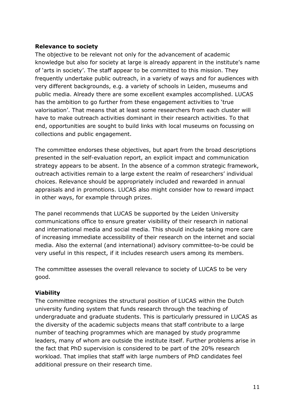#### **Relevance to society**

The objective to be relevant not only for the advancement of academic knowledge but also for society at large is already apparent in the institute's name of 'arts in society'. The staff appear to be committed to this mission. They frequently undertake public outreach, in a variety of ways and for audiences with very different backgrounds, e.g. a variety of schools in Leiden, museums and public media. Already there are some excellent examples accomplished. LUCAS has the ambition to go further from these engagement activities to 'true valorisation'. That means that at least some researchers from each cluster will have to make outreach activities dominant in their research activities. To that end, opportunities are sought to build links with local museums on focussing on collections and public engagement.

The committee endorses these objectives, but apart from the broad descriptions presented in the self-evaluation report, an explicit impact and communication strategy appears to be absent. In the absence of a common strategic framework, outreach activities remain to a large extent the realm of researchers' individual choices. Relevance should be appropriately included and rewarded in annual appraisals and in promotions. LUCAS also might consider how to reward impact in other ways, for example through prizes.

The panel recommends that LUCAS be supported by the Leiden University communications office to ensure greater visibility of their research in national and international media and social media. This should include taking more care of increasing immediate accessibility of their research on the internet and social media. Also the external (and international) advisory committee-to-be could be very useful in this respect, if it includes research users among its members.

The committee assesses the overall relevance to society of LUCAS to be very good.

#### **Viability**

The committee recognizes the structural position of LUCAS within the Dutch university funding system that funds research through the teaching of undergraduate and graduate students. This is particularly pressured in LUCAS as the diversity of the academic subjects means that staff contribute to a large number of teaching programmes which are managed by study programme leaders, many of whom are outside the institute itself. Further problems arise in the fact that PhD supervision is considered to be part of the 20% research workload. That implies that staff with large numbers of PhD candidates feel additional pressure on their research time.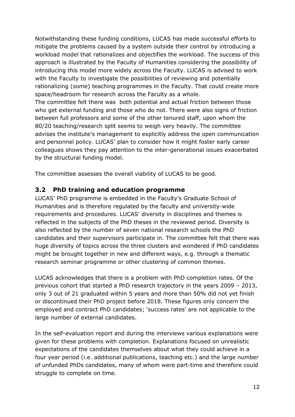Notwithstanding these funding conditions, LUCAS has made successful efforts to mitigate the problems caused by a system outside their control by introducing a workload model that rationalizes and objectifies the workload. The success of this approach is illustrated by the Faculty of Humanities considering the possibility of introducing this model more widely across the Faculty. LUCAS is advised to work with the Faculty to investigate the possibilities of reviewing and potentially rationalizing (some) teaching programmes in the Faculty. That could create more space/headroom for research across the Faculty as a whole. The committee felt there was both potential and actual friction between those who get external funding and those who do not. There were also signs of friction between full professors and some of the other tenured staff, upon whom the 80/20 teaching/research split seems to weigh very heavily. The committee advises the institute's management to explicitly address the open communication and personnel policy. LUCAS' plan to consider how it might foster early career colleagues shows they pay attention to the inter-generational issues exacerbated

by the structural funding model.

The committee assesses the overall viability of LUCAS to be good.

## <span id="page-11-0"></span>**3.2 PhD training and education programme**

LUCAS' PhD programme is embedded in the Faculty's Graduate School of Humanities and is therefore regulated by the faculty and university-wide requirements and procedures. LUCAS' diversity in disciplines and themes is reflected in the subjects of the PhD theses in the reviewed period. Diversity is also reflected by the number of seven national research schools the PhD candidates and their supervisors participate in. The committee felt that there was huge diversity of topics across the three clusters and wondered if PhD candidates might be brought together in new and different ways, e.g. through a thematic research seminar programme or other clustering of common themes.

LUCAS acknowledges that there is a problem with PhD completion rates. Of the previous cohort that started a PhD research trajectory in the years 2009 – 2013, only 3 out of 21 graduated within 5 years and more than 50% did not yet finish or discontinued their PhD project before 2018. These figures only concern the employed and contract PhD candidates; 'success rates' are not applicable to the large number of external candidates.

In the self-evaluation report and during the interviews various explanations were given for these problems with completion. Explanations focused on unrealistic expectations of the candidates themselves about what they could achieve in a four year period (i.e. additional publications, teaching etc.) and the large number of unfunded PhDs candidates, many of whom were part-time and therefore could struggle to complete on time.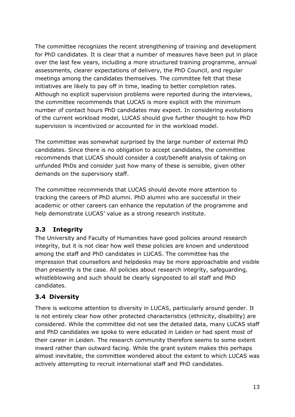The committee recognizes the recent strengthening of training and development for PhD candidates. It is clear that a number of measures have been put in place over the last few years, including a more structured training programme, annual assessments, clearer expectations of delivery, the PhD Council, and regular meetings among the candidates themselves. The committee felt that these initiatives are likely to pay off in time, leading to better completion rates. Although no explicit supervision problems were reported during the interviews, the committee recommends that LUCAS is more explicit with the minimum number of contact hours PhD candidates may expect. In considering evolutions of the current workload model, LUCAS should give further thought to how PhD supervision is incentivized or accounted for in the workload model.

The committee was somewhat surprised by the large number of external PhD candidates. Since there is no obligation to accept candidates, the committee recommends that LUCAS should consider a cost/benefit analysis of taking on unfunded PhDs and consider just how many of these is sensible, given other demands on the supervisory staff.

The committee recommends that LUCAS should devote more attention to tracking the careers of PhD alumni. PhD alumni who are successful in their academic or other careers can enhance the reputation of the programme and help demonstrate LUCAS' value as a strong research institute.

## <span id="page-12-0"></span>**3.3 Integrity**

The University and Faculty of Humanities have good policies around research integrity, but it is not clear how well these policies are known and understood among the staff and PhD candidates in LUCAS. The committee has the impression that counsellors and helpdesks may be more approachable and visible than presently is the case. All policies about research integrity, safeguarding, whistleblowing and such should be clearly signposted to all staff and PhD candidates.

## <span id="page-12-1"></span>**3.4 Diversity**

There is welcome attention to diversity in LUCAS, particularly around gender. It is not entirely clear how other protected characteristics (ethnicity, disability) are considered. While the committee did not see the detailed data, many LUCAS staff and PhD candidates we spoke to were educated in Leiden or had spent most of their career in Leiden. The research community therefore seems to some extent inward rather than outward facing. While the grant system makes this perhaps almost inevitable, the committee wondered about the extent to which LUCAS was actively attempting to recruit international staff and PhD candidates.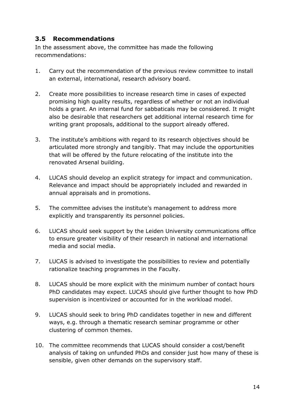### <span id="page-13-0"></span>**3.5 Recommendations**

In the assessment above, the committee has made the following recommendations:

- 1. Carry out the recommendation of the previous review committee to install an external, international, research advisory board.
- 2. Create more possibilities to increase research time in cases of expected promising high quality results, regardless of whether or not an individual holds a grant. An internal fund for sabbaticals may be considered. It might also be desirable that researchers get additional internal research time for writing grant proposals, additional to the support already offered.
- 3. The institute's ambitions with regard to its research objectives should be articulated more strongly and tangibly. That may include the opportunities that will be offered by the future relocating of the institute into the renovated Arsenal building.
- 4. LUCAS should develop an explicit strategy for impact and communication. Relevance and impact should be appropriately included and rewarded in annual appraisals and in promotions.
- 5. The committee advises the institute's management to address more explicitly and transparently its personnel policies.
- 6. LUCAS should seek support by the Leiden University communications office to ensure greater visibility of their research in national and international media and social media.
- 7. LUCAS is advised to investigate the possibilities to review and potentially rationalize teaching programmes in the Faculty.
- 8. LUCAS should be more explicit with the minimum number of contact hours PhD candidates may expect. LUCAS should give further thought to how PhD supervision is incentivized or accounted for in the workload model.
- 9. LUCAS should seek to bring PhD candidates together in new and different ways, e.g. through a thematic research seminar programme or other clustering of common themes.
- 10. The committee recommends that LUCAS should consider a cost/benefit analysis of taking on unfunded PhDs and consider just how many of these is sensible, given other demands on the supervisory staff.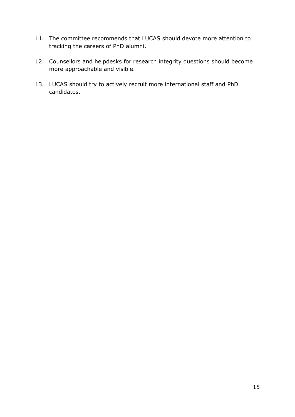- 11. The committee recommends that LUCAS should devote more attention to tracking the careers of PhD alumni.
- 12. Counsellors and helpdesks for research integrity questions should become more approachable and visible.
- 13. LUCAS should try to actively recruit more international staff and PhD candidates.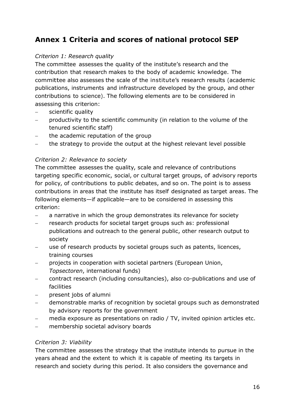# <span id="page-15-0"></span>**Annex 1 Criteria and scores of national protocol SEP**

### *Criterion 1: Research quality*

The committee assesses the quality of the institute's research and the contribution that research makes to the body of academic knowledge. The committee also assesses the scale of the institute's research results (academic publications, instruments and infrastructure developed by the group, and other contributions to science). The following elements are to be considered in assessing this criterion:

- − scientific quality
- − productivity to the scientific community (in relation to the volume of the tenured scientific staff)
- the academic reputation of the group
- the strategy to provide the output at the highest relevant level possible

### *Criterion 2: Relevance to society*

The committee assesses the quality, scale and relevance of contributions targeting specific economic, social, or cultural target groups, of advisory reports for policy, of contributions to public debates, and so on. The point is to assess contributions in areas that the institute has itself designated as target areas. The following elements—if applicable—are to be considered in assessing this criterion:

- − a narrative in which the group demonstrates its relevance for society
- − research products for societal target groups such as: professional publications and outreach to the general public, other research output to society
- use of research products by societal groups such as patents, licences, training courses
- projects in cooperation with societal partners (European Union, *Topsectoren*, international funds)
- − contract research (including consultancies), also co-publications and use of facilities
- − present jobs of alumni
- − demonstrable marks of recognition by societal groups such as demonstrated by advisory reports for the government
- media exposure as presentations on radio / TV, invited opinion articles etc.
- − membership societal advisory boards

#### *Criterion 3: Viability*

The committee assesses the strategy that the institute intends to pursue in the years ahead and the extent to which it is capable of meeting its targets in research and society during this period. It also considers the governance and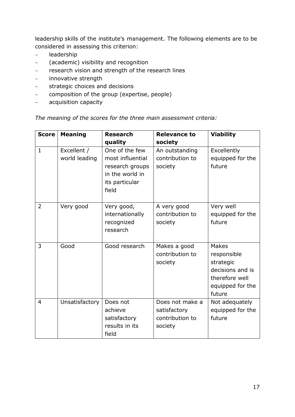leadership skills of the institute's management. The following elements are to be considered in assessing this criterion:

- − leadership
- − (academic) visibility and recognition
- − research vision and strength of the research lines
- − innovative strength
- − strategic choices and decisions
- − composition of the group (expertise, people)
- − acquisition capacity

### *The meaning of the scores for the three main assessment criteria:*

| <b>Score</b>   | <b>Meaning</b>               | <b>Research</b>                                                                                     | <b>Relevance to</b>                                           | <b>Viability</b>                                                                                             |  |  |
|----------------|------------------------------|-----------------------------------------------------------------------------------------------------|---------------------------------------------------------------|--------------------------------------------------------------------------------------------------------------|--|--|
|                |                              | quality                                                                                             | society                                                       |                                                                                                              |  |  |
| $\mathbf{1}$   | Excellent /<br>world leading | One of the few<br>most influential<br>research groups<br>in the world in<br>its particular<br>field | An outstanding<br>contribution to<br>society                  | Excellently<br>equipped for the<br>future                                                                    |  |  |
| $\overline{2}$ | Very good                    | Very good,<br>internationally<br>recognized<br>research                                             | A very good<br>contribution to<br>society                     | Very well<br>equipped for the<br>future                                                                      |  |  |
| 3              | Good                         | Good research                                                                                       | Makes a good<br>contribution to<br>society                    | <b>Makes</b><br>responsible<br>strategic<br>decisions and is<br>therefore well<br>equipped for the<br>future |  |  |
| $\overline{4}$ | Unsatisfactory               | Does not<br>achieve<br>satisfactory<br>results in its<br>field                                      | Does not make a<br>satisfactory<br>contribution to<br>society | Not adequately<br>equipped for the<br>future                                                                 |  |  |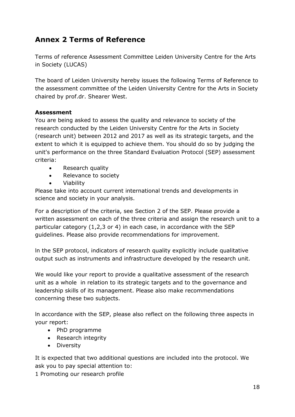# <span id="page-17-0"></span>**Annex 2 Terms of Reference**

Terms of reference Assessment Committee Leiden University Centre for the Arts in Society (LUCAS)

The board of Leiden University hereby issues the following Terms of Reference to the assessment committee of the Leiden University Centre for the Arts in Society chaired by prof.dr. Shearer West.

### **Assessment**

You are being asked to assess the quality and relevance to society of the research conducted by the Leiden University Centre for the Arts in Society (research unit) between 2012 and 2017 as well as its strategic targets, and the extent to which it is equipped to achieve them. You should do so by judging the unit's performance on the three Standard Evaluation Protocol (SEP) assessment criteria:

- Research quality
- Relevance to society
- Viability

Please take into account current international trends and developments in science and society in your analysis.

For a description of the criteria, see Section 2 of the SEP. Please provide a written assessment on each of the three criteria and assign the research unit to a particular category (1,2,3 or 4) in each case, in accordance with the SEP guidelines. Please also provide recommendations for improvement.

ln the SEP protocol, indicators of research quality explicitly include qualitative output such as instruments and infrastructure developed by the research unit.

We would like your report to provide a qualitative assessment of the research unit as a whole in relation to its strategic targets and to the governance and leadership skills of its management. Please also make recommendations concerning these two subjects.

ln accordance with the SEP, please also reflect on the following three aspects in your report:

- PhD programme
- Research integrity
- Diversity

It is expected that two additional questions are included into the protocol. We ask you to pay special attention to:

1 Promoting our research profile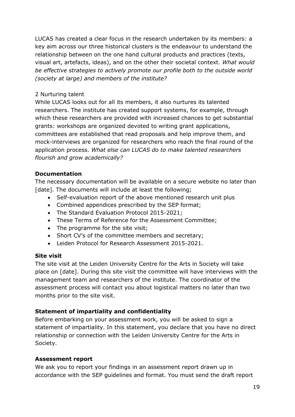LUCAS has created a clear focus in the research undertaken by its members: a key aim across our three historical clusters is the endeavour to understand the relationship between on the one hand cultural products and practices (texts, visual art, artefacts, ideas), and on the other their societal context. *What would be effective strategies to actively promote our profile both to the outside world (society at large) and members of the institute?*

#### 2 Nurturing talent

While LUCAS looks out for all its members, it also nurtures its talented researchers. The institute has created support systems, for example, through which these researchers are provided with increased chances to get substantial grants: workshops are organized devoted to writing grant applications, committees are established that read proposals and help improve them, and mock-interviews are organized for researchers who reach the final round of the application process. *What else can LUCAS do to make talented researchers flourish and grow academically?*

#### **Documentation**

The necessary documentation will be available on a secure website no later than [date]. The documents will include at least the following;

- Self-evaluation report of the above mentioned research unit plus
- Combined appendices prescribed by the SEP format;
- The Standard Evaluation Protocol 2015-2021;
- These Terms of Reference for the Assessment Committee;
- The programme for the site visit;
- Short CV's of the committee members and secretary;
- Leiden Protocol for Research Assessment 2015-2021.

#### **Site visit**

The site visit at the Leiden University Centre for the Arts in Society will take place on [date]. During this site visit the committee will have interviews with the management team and researchers of the institute. The coordinator of the assessment process will contact you about logistical matters no later than two months prior to the site visit.

#### **Statement of impartiality and confidentiality**

Before embarking on your assessment work, you will be asked to sign a statement of impartiality. In this statement, you declare that you have no direct relationship or connection with the Leiden University Centre for the Arts in Society.

#### **Assessment report**

We ask you to report your findings in an assessment report drawn up in accordance with the SEP guidelines and format. You must send the draft report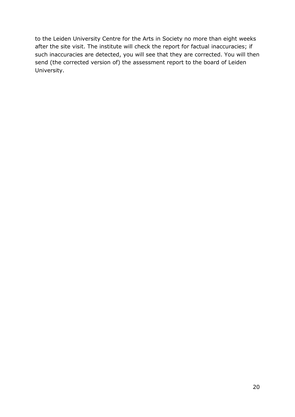to the Leiden University Centre for the Arts in Society no more than eight weeks after the site visit. The institute will check the report for factual inaccuracies; if such inaccuracies are detected, you will see that they are corrected. You will then send (the corrected version of) the assessment report to the board of Leiden University.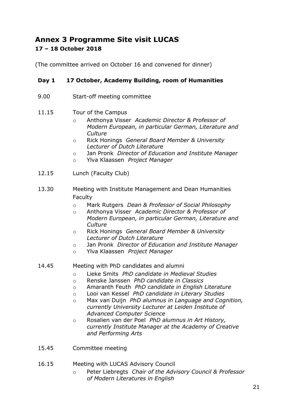# <span id="page-20-0"></span>**Annex 3 Programme Site visit LUCAS 17 – 18 October 2018**

(The committee arrived on October 16 and convened for dinner)

#### **Day 1 17 October, Academy Building, room of Humanities**

- 9.00 Start-off meeting committee
- 11.15 Tour of the Campus
	- o Anthonya Visser *Academic Director & Professor of Modern European, in particular German, Literature and Culture*
	- o Rick Honings *General Board Member & University Lecturer of Dutch Literature*
	- o Jan Pronk *Director of Education and Institute Manager*
	- o Ylva Klaassen *Project Manager*
- 12.15 Lunch (Faculty Club)
- 13.30 Meeting with Institute Management and Dean Humanities Faculty
	- o Mark Rutgers *Dean & Professor of Social Philosophy*
	- o Anthonya Visser *Academic Director & Professor of Modern European, in particular German, Literature and Culture*
	- o Rick Honings *General Board Member & University Lecturer of Dutch Literature*
	- o Jan Pronk *Director of Education and Institute Manager*
	- o Ylva Klaassen *Project Manager*

#### 14.45 Meeting with PhD candidates and alumni

- o Lieke Smits *PhD candidate in Medieval Studies*
- o Renske Janssen *PhD candidate in Classics*
- o Amaranth Feuth *PhD candidate in English Literature*
- o Looi van Kessel *PhD candidate in Literary Studies*
- o Max van Duijn *PhD alumnus in Language and Cognition, currently University Lecturer at Leiden Institute of Advanced Computer Science*
- o Rosalien van der Poel *PhD alumnus in Art History, currently Institute Manager at the Academy of Creative and Performing Arts*
- 15.45 Committee meeting

#### 16.15 Meeting with LUCAS Advisory Council

o Peter Liebregts *Chair of the Advisory Council & Professor of Modern Literatures in English*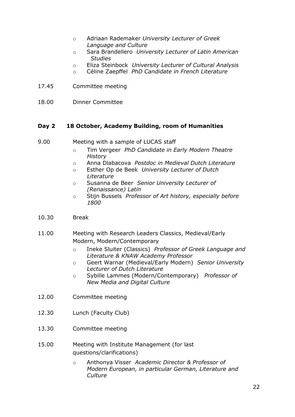- o Adriaan Rademaker *University Lecturer of Greek Language and Culture*
- o Sara Brandellero *University Lecturer of Latin American Studies*
- o Eliza Steinbock *University Lecturer of Cultural Analysis*
- o Céline Zaepffel *PhD Candidate in French Literature*
- 17.45 Committee meeting
- 18.00 Dinner Committee

#### **Day 2 18 October, Academy Building, room of Humanities**

- 9.00 Meeting with a sample of LUCAS staff
	- o Tim Vergeer *PhD Candidate in Early Modern Theatre History*
	- o Anna Dlabacova *Postdoc in Medieval Dutch Literature*
	- o Esther Op de Beek *University Lecturer of Dutch Literature*
	- o Susanna de Beer *Senior University Lecturer of (Renaissance) Latin*
	- o Stijn Bussels *Professor of Art history, especially before 1800*
- 10.30 Break
- 11.00 Meeting with Research Leaders Classics, Medieval/Early Modern, Modern/Contemporary
	- o Ineke Sluiter (Classics) *Professor of Greek Language and Literature & KNAW Academy Professor*
	- o Geert Warnar (Medieval/Early Modern) *Senior University Lecturer of Dutch Literature*
	- o Sybille Lammes (Modern/Contemporary) *Professor of New Media and Digital Culture*
- 12.00 Committee meeting
- 12.30 Lunch (Faculty Club)
- 13.30 Committee meeting
- 15.00 Meeting with Institute Management (for last questions/clarifications)
	- o Anthonya Visser *Academic Director & Professor of Modern European, in particular German, Literature and Culture*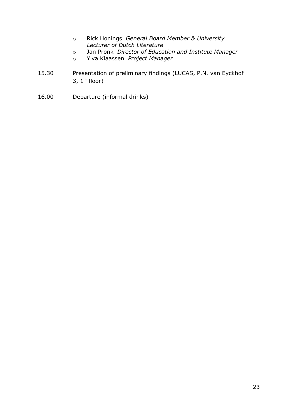- o Rick Honings *General Board Member & University Lecturer of Dutch Literature*
- o Jan Pronk *Director of Education and Institute Manager*
- o Ylva Klaassen *Project Manager*
- 15.30 Presentation of preliminary findings (LUCAS, P.N. van Eyckhof 3,  $1<sup>st</sup>$  floor)
- 16.00 Departure (informal drinks)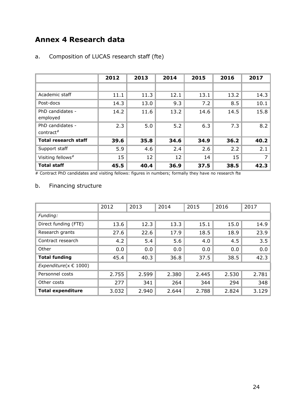# <span id="page-23-0"></span>**Annex 4 Research data**

|                               | 2012 | 2013 | 2014 | 2015 | 2016 | 2017 |
|-------------------------------|------|------|------|------|------|------|
|                               |      |      |      |      |      |      |
| Academic staff                | 11.1 | 11.3 | 12.1 | 13.1 | 13.2 | 14.3 |
| Post-docs                     | 14.3 | 13.0 | 9.3  | 7.2  | 8.5  | 10.1 |
| PhD candidates -<br>employed  | 14.2 | 11.6 | 13.2 | 14.6 | 14.5 | 15.8 |
| PhD candidates -<br>contract# | 2.3  | 5.0  | 5.2  | 6.3  | 7.3  | 8.2  |
| <b>Total research staff</b>   | 39.6 | 35.8 | 34.6 | 34.9 | 36.2 | 40.2 |
| Support staff                 | 5.9  | 4.6  | 2.4  | 2.6  | 2.2  | 2.1  |
| Visiting fellows <sup>#</sup> | 15   | 12   | 12   | 14   | 15   | 7    |
| <b>Total staff</b>            | 45.5 | 40.4 | 36.9 | 37.5 | 38.5 | 42.3 |

### a. Composition of LUCAS research staff (fte)

# Contract PhD candidates and visiting fellows: figures in numbers; formally they have no research fte

### b. Financing structure

|                             | 2012  | 2013  | 2014  | 2015  | 2016  | 2017  |
|-----------------------------|-------|-------|-------|-------|-------|-------|
| Funding:                    |       |       |       |       |       |       |
| Direct funding (FTE)        | 13.6  | 12.3  | 13.3  | 15.1  | 15.0  | 14.9  |
| Research grants             | 27.6  | 22.6  | 17.9  | 18.5  | 18.9  | 23.9  |
| Contract research           | 4.2   | 5.4   | 5.6   | 4.0   | 4.5   | 3.5   |
| Other                       | 0.0   | 0.0   | 0.0   | 0.0   | 0.0   | 0.0   |
| <b>Total funding</b>        | 45.4  | 40.3  | 36.8  | 37.5  | 38.5  | 42.3  |
| Expenditure( $x \in 1000$ ) |       |       |       |       |       |       |
| Personnel costs             | 2.755 | 2.599 | 2.380 | 2.445 | 2.530 | 2.781 |
| Other costs                 | 277   | 341   | 264   | 344   | 294   | 348   |
| <b>Total expenditure</b>    | 3.032 | 2.940 | 2.644 | 2.788 | 2.824 | 3.129 |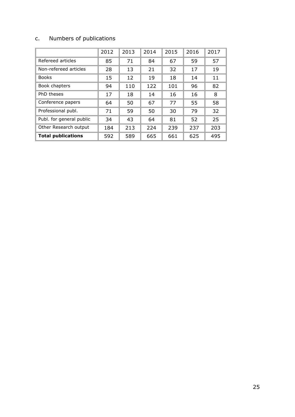## c. Numbers of publications

|                           | 2012 | 2013 | 2014 | 2015 | 2016 | 2017 |
|---------------------------|------|------|------|------|------|------|
| Refereed articles         | 85   | 71   | 84   | 67   | 59   | 57   |
| Non-refereed articles     | 28   | 13   | 21   | 32   | 17   | 19   |
| <b>Books</b>              | 15   | 12   | 19   | 18   | 14   | 11   |
| Book chapters             | 94   | 110  | 122  | 101  | 96   | 82   |
| PhD theses                | 17   | 18   | 14   | 16   | 16   | 8    |
| Conference papers         | 64   | 50   | 67   | 77   | 55   | 58   |
| Professional publ.        | 71   | 59   | 50   | 30   | 79   | 32   |
| Publ. for general public  | 34   | 43   | 64   | 81   | 52   | 25   |
| Other Research output     | 184  | 213  | 224  | 239  | 237  | 203  |
| <b>Total publications</b> | 592  | 589  | 665  | 661  | 625  | 495  |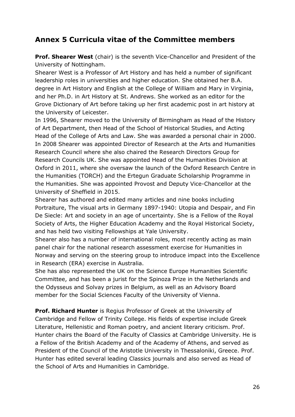# <span id="page-25-0"></span>**Annex 5 Curricula vitae of the Committee members**

**Prof. Shearer West** (chair) is the seventh Vice-Chancellor and President of the University of Nottingham.

Shearer West is a Professor of Art History and has held a number of significant leadership roles in universities and higher education. She obtained her B.A. degree in Art History and English at the College of William and Mary in Virginia, and her Ph.D. in Art History at St. Andrews. She worked as an editor for the Grove Dictionary of Art before taking up her first academic post in art history at the University of Leicester.

In 1996, Shearer moved to the University of Birmingham as Head of the History of Art Department, then Head of the School of Historical Studies, and Acting Head of the College of Arts and Law. She was awarded a personal chair in 2000. In 2008 Shearer was appointed Director of Research at the Arts and Humanities Research Council where she also chaired the Research Directors Group for Research Councils UK. She was appointed Head of the Humanities Division at Oxford in 2011, where she oversaw the launch of the Oxford Research Centre in the Humanities (TORCH) and the Ertegun Graduate Scholarship Programme in the Humanities. She was appointed Provost and Deputy Vice-Chancellor at the University of Sheffield in 2015.

Shearer has authored and edited many articles and nine books including Portraiture, The visual arts in Germany 1897-1940: Utopia and Despair, and Fin De Siecle: Art and society in an age of uncertainty. She is a Fellow of the Royal Society of Arts, the Higher Education Academy and the Royal Historical Society, and has held two visiting Fellowships at Yale University.

Shearer also has a number of international roles, most recently acting as main panel chair for the national research assessment exercise for Humanities in Norway and serving on the steering group to introduce impact into the Excellence in Research (ERA) exercise in Australia.

She has also represented the UK on the Science Europe Humanities Scientific Committee, and has been a jurist for the Spinoza Prize in the Netherlands and the Odysseus and Solvay prizes in Belgium, as well as an Advisory Board member for the Social Sciences Faculty of the University of Vienna.

**Prof. Richard Hunter** is Regius Professor of Greek at the University of Cambridge and Fellow of Trinity College. His fields of expertise include Greek Literature, Hellenistic and Roman poetry, and ancient literary criticism. Prof. Hunter chairs the Board of the Faculty of Classics at Cambridge University. He is a Fellow of the British Academy and of the Academy of Athens, and served as President of the Council of the Aristotle University in Thessaloniki, Greece. Prof. Hunter has edited several leading Classics journals and also served as Head of the School of Arts and Humanities in Cambridge.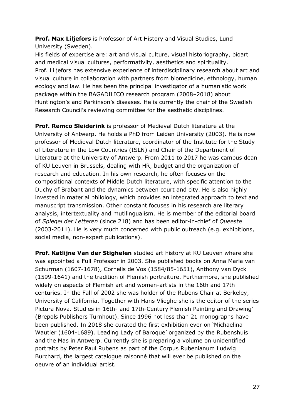**Prof. Max Liljefors** is Professor of Art History and Visual Studies, Lund University (Sweden).

His fields of expertise are: art and visual culture, visual historiography, bioart and medical visual cultures, performativity, aesthetics and spirituality. Prof. Liljefors has extensive experience of interdisciplinary research about art and visual culture in collaboration with partners from biomedicine, ethnology, human ecology and law. He has been the principal investigator of a humanistic work package within the BAGADILICO research program (2008–2018) about Huntington's and Parkinson's diseases. He is currently the chair of the Swedish Research Council's reviewing committee for the aesthetic disciplines.

**Prof. Remco Sleiderink** is professor of Medieval Dutch literature at the University of Antwerp. He holds a PhD from Leiden University (2003). He is now professor of Medieval Dutch literature, coordinator of the Institute for the Study of Literature in the Low Countries (ISLN) and Chair of the Department of Literature at the University of Antwerp. From 2011 to 2017 he was campus dean of KU Leuven in Brussels, dealing with HR, budget and the organization of research and education. In his own research, he often focuses on the compositional contexts of Middle Dutch literature, with specific attention to the Duchy of Brabant and the dynamics between court and city. He is also highly invested in material philology, which provides an integrated approach to text and manuscript transmission. Other constant focuses in his research are literary analysis, intertextuality and mutilingualism. He is member of the editorial board of *Spiegel der Letteren* (since 218) and has been editor-in-chief of *Queeste* (2003-2011). He is very much concerned with public outreach (e.g. exhibitions, social media, non-expert publications).

**Prof. Katlijne Van der Stighelen** studied art history at KU Leuven where she was appointed a Full Professor in 2003. She published books on Anna Maria van Schurman (1607-1678), Cornelis de Vos (1584/85-1651), Anthony van Dyck (1599-1641) and the tradition of Flemish portraiture. Furthermore, she published widely on aspects of Flemish art and women-artists in the 16th and 17th centuries. In the Fall of 2002 she was holder of the Rubens Chair at Berkeley, University of California. Together with Hans Vlieghe she is the editor of the series Pictura Nova. Studies in 16th- and 17th-Century Flemish Painting and Drawing' (Brepols Publishers Turnhout). Since 1996 not less than 21 monographs have been published. In 2018 she curated the first exhibition ever on 'Michaelina Wautier (1604-1689). Leading Lady of Baroque' organized by the Rubenshuis and the Mas in Antwerp. Currently she is preparing a volume on unidentified portraits by Peter Paul Rubens as part of the Corpus Rubenianum Ludwig Burchard, the largest catalogue raisonné that will ever be published on the oeuvre of an individual artist.